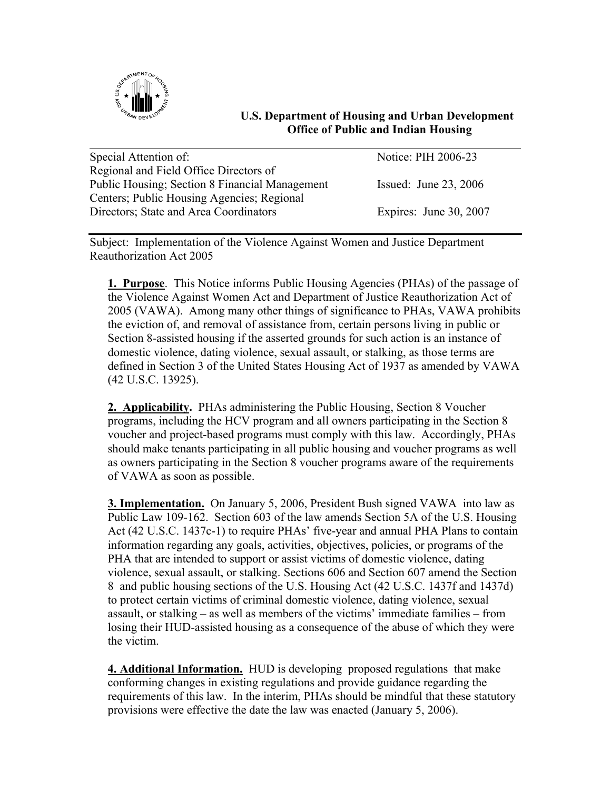

## **U.S. Department of Housing and Urban Development Office of Public and Indian Housing**

| Special Attention of:                                 | Notice: PIH 2006-23     |
|-------------------------------------------------------|-------------------------|
| Regional and Field Office Directors of                |                         |
| <b>Public Housing: Section 8 Financial Management</b> | Issued: June $23, 2006$ |
| Centers; Public Housing Agencies; Regional            |                         |
| Directors; State and Area Coordinators                | Expires: June 30, 2007  |

Subject: Implementation of the Violence Against Women and Justice Department Reauthorization Act 2005

**1. Purpose**. This Notice informs Public Housing Agencies (PHAs) of the passage of the Violence Against Women Act and Department of Justice Reauthorization Act of 2005 (VAWA). Among many other things of significance to PHAs, VAWA prohibits the eviction of, and removal of assistance from, certain persons living in public or Section 8-assisted housing if the asserted grounds for such action is an instance of domestic violence, dating violence, sexual assault, or stalking, as those terms are defined in Section 3 of the United States Housing Act of 1937 as amended by VAWA (42 U.S.C. 13925).

**2. Applicability.** PHAs administering the Public Housing, Section 8 Voucher programs, including the HCV program and all owners participating in the Section 8 voucher and project-based programs must comply with this law. Accordingly, PHAs should make tenants participating in all public housing and voucher programs as well as owners participating in the Section 8 voucher programs aware of the requirements of VAWA as soon as possible.

**3. Implementation.** On January 5, 2006, President Bush signed VAWA into law as Public Law 109-162. Section 603 of the law amends Section 5A of the U.S. Housing Act (42 U.S.C. 1437c-1) to require PHAs' five-year and annual PHA Plans to contain information regarding any goals, activities, objectives, policies, or programs of the PHA that are intended to support or assist victims of domestic violence, dating violence, sexual assault, or stalking. Sections 606 and Section 607 amend the Section 8 and public housing sections of the U.S. Housing Act (42 U.S.C. 1437f and 1437d) to protect certain victims of criminal domestic violence, dating violence, sexual assault, or stalking – as well as members of the victims' immediate families – from losing their HUD-assisted housing as a consequence of the abuse of which they were the victim.

**4. Additional Information.** HUD is developing proposed regulations that make conforming changes in existing regulations and provide guidance regarding the requirements of this law. In the interim, PHAs should be mindful that these statutory provisions were effective the date the law was enacted (January 5, 2006).